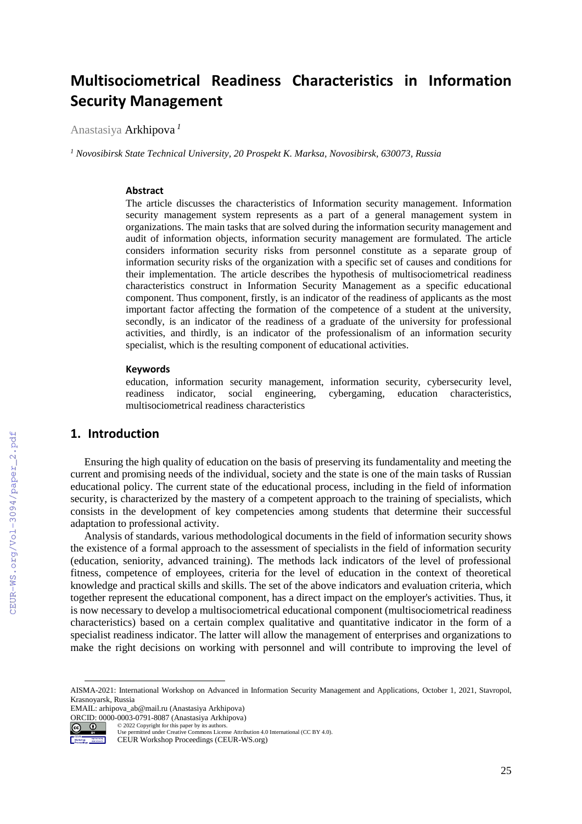# **Multisociometrical Readiness Characteristics in Information Security Management**

Anastasiya Arkhipova *<sup>1</sup>*

*<sup>1</sup> Novosibirsk State Technical University, 20 Prospekt K. Marksa, Novosibirsk, 630073, Russia*

### **Abstract**

The article discusses the characteristics of Information security management. Information security management system represents as a part of a general management system in organizations. The main tasks that are solved during the information security management and audit of information objects, information security management are formulated. The article considers information security risks from personnel constitute as a separate group of information security risks of the organization with a specific set of causes and conditions for their implementation. The article describes the hypothesis of multisociometrical readiness characteristics construct in Information Security Management as a specific educational component. Thus component, firstly, is an indicator of the readiness of applicants as the most important factor affecting the formation of the competence of a student at the university, secondly, is an indicator of the readiness of a graduate of the university for professional activities, and thirdly, is an indicator of the professionalism of an information security specialist, which is the resulting component of educational activities.

#### **Keywords**

education, information security management, information security, cybersecurity level, readiness indicator, social engineering, cybergaming, education characteristics, multisociometrical readiness characteristics

## **1. Introduction**

Ensuring the high quality of education on the basis of preserving its fundamentality and meeting the current and promising needs of the individual, society and the state is one of the main tasks of Russian educational policy. The current state of the educational process, including in the field of information security, is characterized by the mastery of a competent approach to the training of specialists, which consists in the development of key competencies among students that determine their successful adaptation to professional activity.

Analysis of standards, various methodological documents in the field of information security shows the existence of a formal approach to the assessment of specialists in the field of information security (education, seniority, advanced training). The methods lack indicators of the level of professional fitness, competence of employees, criteria for the level of education in the context of theoretical knowledge and practical skills and skills. The set of the above indicators and evaluation criteria, which together represent the educational component, has a direct impact on the employer's activities. Thus, it is now necessary to develop a multisociometrical educational component (multisociometrical readiness characteristics) based on a certain complex qualitative and quantitative indicator in the form of a specialist readiness indicator. The latter will allow the management of enterprises and organizations to make the right decisions on working with personnel and will contribute to improving the level of

© 2022 Copyright for this paper by its authors.



 $\overline{a}$ 

Use permitted under Creative Commons License Attribution 4.0 International (CC BY 4.0).

AISMA-2021: International Workshop on Advanced in Information Security Management and Applications, October 1, 2021, Stavropol, Krasnoyarsk, Russia

EMAIL: arhipova\_ab@mail.ru (Anastasiya Arkhipova) ORCID: 0000-0003-0791-8087 (Anastasiya Arkhipova)

CEUR Workshop Proceedings (CEUR-WS.org)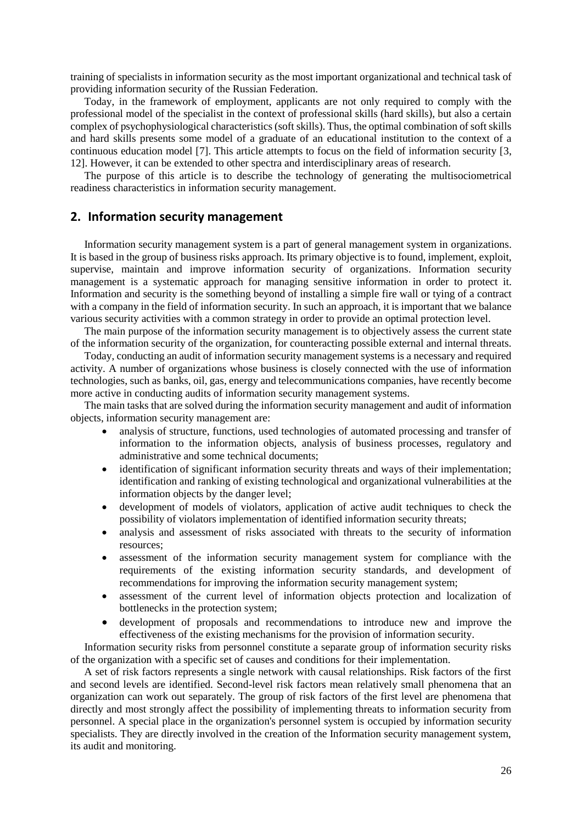training of specialists in information security as the most important organizational and technical task of providing information security of the Russian Federation.

Today, in the framework of employment, applicants are not only required to comply with the professional model of the specialist in the context of professional skills (hard skills), but also a certain complex of psychophysiological characteristics (soft skills). Thus, the optimal combination of soft skills and hard skills presents some model of a graduate of an educational institution to the context of a continuous education model [7]. This article attempts to focus on the field of information security [3, 12]. However, it can be extended to other spectra and interdisciplinary areas of research.

The purpose of this article is to describe the technology of generating the multisociometrical readiness characteristics in information security management.

### **2. Information security management**

Information security management system is a part of general management system in organizations. It is based in the group of business risks approach. Its primary objective is to found, implement, exploit, supervise, maintain and improve information security of organizations. Information security management is a systematic approach for managing sensitive information in order to protect it. Information and security is the something beyond of installing a simple fire wall or tying of a contract with a company in the field of information security. In such an approach, it is important that we balance various security activities with a common strategy in order to provide an optimal protection level.

The main purpose of the information security management is to objectively assess the current state of the information security of the organization, for counteracting possible external and internal threats.

Today, conducting an audit of information security management systems is a necessary and required activity. A number of organizations whose business is closely connected with the use of information technologies, such as banks, oil, gas, energy and telecommunications companies, have recently become more active in conducting audits of information security management systems.

The main tasks that are solved during the information security management and audit of information objects, information security management are:

- analysis of structure, functions, used technologies of automated processing and transfer of information to the information objects, analysis of business processes, regulatory and administrative and some technical documents;
- identification of significant information security threats and ways of their implementation; identification and ranking of existing technological and organizational vulnerabilities at the information objects by the danger level;
- development of models of violators, application of active audit techniques to check the possibility of violators implementation of identified information security threats;
- analysis and assessment of risks associated with threats to the security of information resources;
- assessment of the information security management system for compliance with the requirements of the existing information security standards, and development of recommendations for improving the information security management system;
- assessment of the current level of information objects protection and localization of bottlenecks in the protection system;
- development of proposals and recommendations to introduce new and improve the effectiveness of the existing mechanisms for the provision of information security.

Information security risks from personnel constitute a separate group of information security risks of the organization with a specific set of causes and conditions for their implementation.

A set of risk factors represents a single network with causal relationships. Risk factors of the first and second levels are identified. Second-level risk factors mean relatively small phenomena that an organization can work out separately. The group of risk factors of the first level are phenomena that directly and most strongly affect the possibility of implementing threats to information security from personnel. A special place in the organization's personnel system is occupied by information security specialists. They are directly involved in the creation of the Information security management system, its audit and monitoring.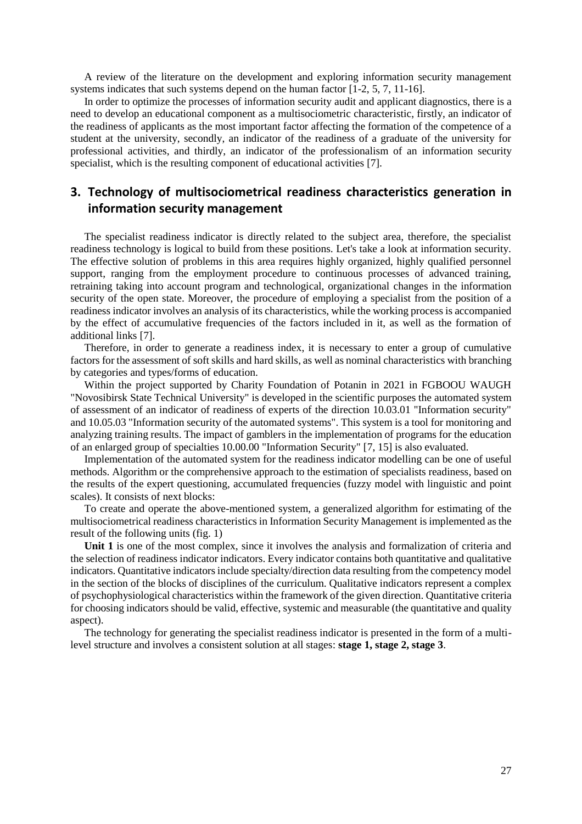A review of the literature on the development and exploring information security management systems indicates that such systems depend on the human factor [1-2, 5, 7, 11-16].

In order to optimize the processes of information security audit and applicant diagnostics, there is a need to develop an educational component as a multisociometric characteristic, firstly, an indicator of the readiness of applicants as the most important factor affecting the formation of the competence of a student at the university, secondly, an indicator of the readiness of a graduate of the university for professional activities, and thirdly, an indicator of the professionalism of an information security specialist, which is the resulting component of educational activities [7].

## **3. Technology of multisociometrical readiness characteristics generation in information security management**

The specialist readiness indicator is directly related to the subject area, therefore, the specialist readiness technology is logical to build from these positions. Let's take a look at information security. The effective solution of problems in this area requires highly organized, highly qualified personnel support, ranging from the employment procedure to continuous processes of advanced training, retraining taking into account program and technological, organizational changes in the information security of the open state. Moreover, the procedure of employing a specialist from the position of a readiness indicator involves an analysis of its characteristics, while the working process is accompanied by the effect of accumulative frequencies of the factors included in it, as well as the formation of additional links [7].

Therefore, in order to generate a readiness index, it is necessary to enter a group of cumulative factors for the assessment of soft skills and hard skills, as well as nominal characteristics with branching by categories and types/forms of education.

Within the project supported by Charity Foundation of Potanin in 2021 in FGBOOU WAUGH "Novosibirsk State Technical University" is developed in the scientific purposes the automated system of assessment of an indicator of readiness of experts of the direction 10.03.01 "Information security" and 10.05.03 "Information security of the automated systems". This system is a tool for monitoring and analyzing training results. The impact of gamblers in the implementation of programs for the education of an enlarged group of specialties 10.00.00 "Information Security" [7, 15] is also evaluated.

Implementation of the automated system for the readiness indicator modelling can be one of useful methods. Algorithm or the comprehensive approach to the estimation of specialists readiness, based on the results of the expert questioning, accumulated frequencies (fuzzy model with linguistic and point scales). It consists of next blocks:

To create and operate the above-mentioned system, a generalized algorithm for estimating of the multisociometrical readiness characteristics in Information Security Management is implemented as the result of the following units (fig. 1)

**Unit 1** is one of the most complex, since it involves the analysis and formalization of criteria and the selection of readiness indicator indicators. Every indicator contains both quantitative and qualitative indicators. Quantitative indicators include specialty/direction data resulting from the competency model in the section of the blocks of disciplines of the curriculum. Qualitative indicators represent a complex of psychophysiological characteristics within the framework of the given direction. Quantitative criteria for choosing indicators should be valid, effective, systemic and measurable (the quantitative and quality aspect).

The technology for generating the specialist readiness indicator is presented in the form of a multilevel structure and involves a consistent solution at all stages: **stage 1, stage 2, stage 3**.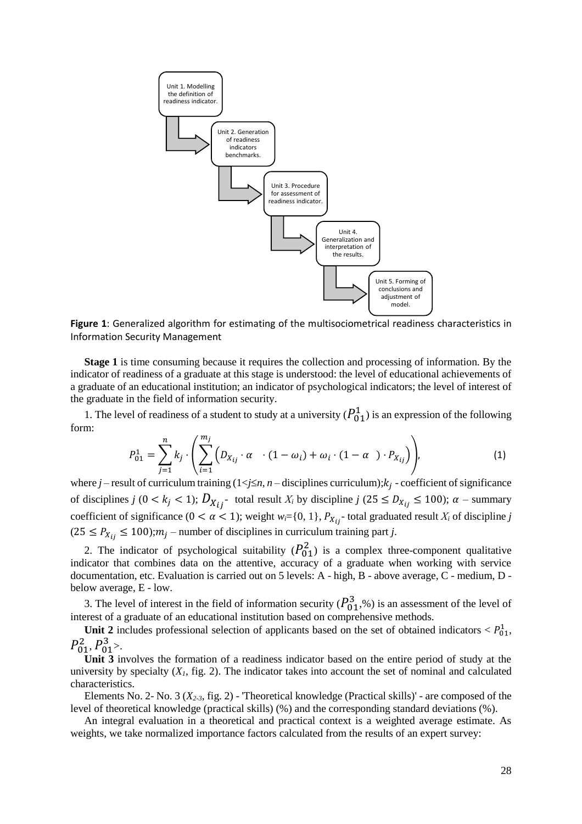

**Figure 1**: Generalized algorithm for estimating of the multisociometrical readiness characteristics in Information Security Management

**Stage 1** is time consuming because it requires the collection and processing of information. By the indicator of readiness of a graduate at this stage is understood: the level of educational achievements of a graduate of an educational institution; an indicator of psychological indicators; the level of interest of the graduate in the field of information security.

1. The level of readiness of a student to study at a university  $(P_{01}^1)$  is an expression of the following form:

$$
P_{01}^{1} = \sum_{j=1}^{n} k_j \cdot \left( \sum_{i=1}^{m_j} \left( D_{X_{ij}} \cdot \alpha \quad (1 - \omega_i) + \omega_i \cdot (1 - \alpha \quad) \cdot P_{X_{ij}} \right) \right), \tag{1}
$$

where  $j$  – result of curriculum training  $(1 \le j \le n, n$  – disciplines curriculum);  $k_j$  - coefficient of significance of disciplines *j*  $(0 < k_j < 1)$ ;  $D_{X_{ij}}$  total result  $X_i$  by discipline  $j$   $(25 \le D_{X_{ij}} \le 100)$ ;  $\alpha$  – summary coefficient of significance  $(0 < \alpha < 1)$ ; weight  $w_i = \{0, 1\}$ ,  $P_{X_{ij}}$  total graduated result  $X_i$  of discipline *j*  $(25 \le P_{X_{ij}} \le 100)$ ;  $m_j$  – number of disciplines in curriculum training part *j*.

2. The indicator of psychological suitability  $(P_{01}^2)$  is a complex three-component qualitative indicator that combines data on the attentive, accuracy of a graduate when working with service documentation, etc. Evaluation is carried out on 5 levels: A - high, B - above average, C - medium, D below average, E - low.

3. The level of interest in the field of information security  $(P_{01}^3, \%)$  is an assessment of the level of interest of a graduate of an educational institution based on comprehensive methods.

Unit 2 includes professional selection of applicants based on the set of obtained indicators  $\langle P_{01}^1,$  $P_{01}^2, P_{01}^3$ .

**Unit 3** involves the formation of a readiness indicator based on the entire period of study at the university by specialty  $(X<sub>1</sub>,$  fig. 2). The indicator takes into account the set of nominal and calculated characteristics.

Elements No. 2- No. 3 (*X2-3*, fig. 2) - 'Theoretical knowledge (Practical skills)' - are composed of the level of theoretical knowledge (practical skills) (%) and the corresponding standard deviations (%).

An integral evaluation in a theoretical and practical context is a weighted average estimate. As weights, we take normalized importance factors calculated from the results of an expert survey: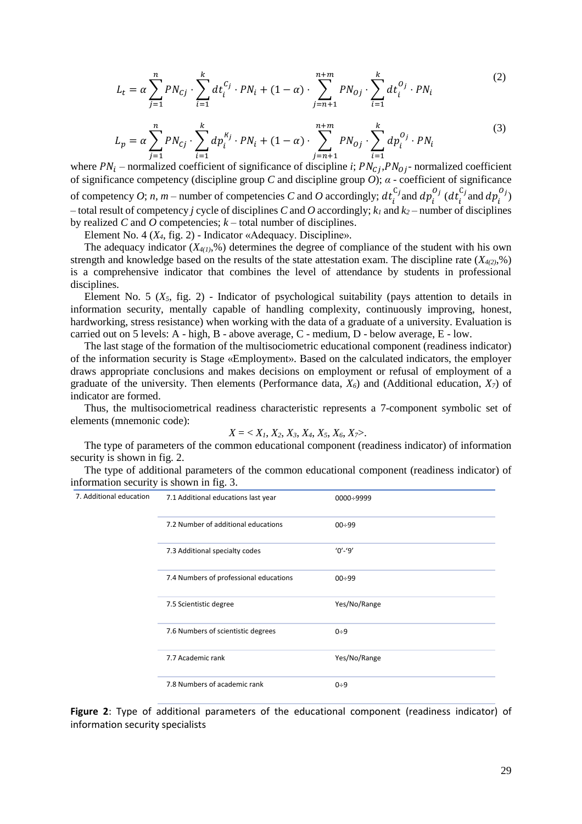$$
L_t = \alpha \sum_{j=1}^n P N_{cj} \cdot \sum_{i=1}^k dt_i^{c_j} \cdot P N_i + (1 - \alpha) \cdot \sum_{j=n+1}^{n+m} P N_{oj} \cdot \sum_{i=1}^k dt_i^{o_j} \cdot P N_i
$$
 (2)

$$
L_p = \alpha \sum_{j=1}^n P N_{cj} \cdot \sum_{i=1}^k dp_i^{k_j} \cdot P N_i + (1 - \alpha) \cdot \sum_{j=n+1}^{n+m} P N_{oj} \cdot \sum_{i=1}^k dp_i^{O_j} \cdot P N_i
$$
 (3)

where  $PN_i$  – normalized coefficient of significance of discipline *i*;  $PN_{Cj}$ ,  $PN_{Oj}$ - normalized coefficient of significance competency (discipline group *C* and discipline group *O*); *α* - coefficient of significance of competency *O*; *n*, *m* – number of competencies *C* and *O* accordingly;  $dt_i$  $_{i}^{C_{j}}$  and  $dp_{i}^{O_{j}}$  (dt $_{i}^{C_{j}}$  $_{i}^{C_j}$  and  $dp_i^{O_j}$ ) – total result of competency *j* cycle of disciplines *C* and *O* accordingly; *k<sup>1</sup>* and *k<sup>2</sup>* – number of disciplines by realized *C* and *O* competencies; *k* – total number of disciplines.

Element No. 4 (*X4*, fig. 2) - Indicator «Adequacy. Discipline».

The adequacy indicator  $(X_{4(1)},\%)$  determines the degree of compliance of the student with his own strength and knowledge based on the results of the state attestation exam. The discipline rate (*X4(2)*,%) is a comprehensive indicator that combines the level of attendance by students in professional disciplines.

Element No. 5  $(X_5, \text{ fig. 2})$  - Indicator of psychological suitability (pays attention to details in information security, mentally capable of handling complexity, continuously improving, honest, hardworking, stress resistance) when working with the data of a graduate of a university. Evaluation is carried out on 5 levels: A - high, B - above average, C - medium, D - below average, E - low.

The last stage of the formation of the multisociometric educational component (readiness indicator) of the information security is Stage «Employment». Based on the calculated indicators, the employer draws appropriate conclusions and makes decisions on employment or refusal of employment of a graduate of the university. Then elements (Performance data, *X6*) and (Additional education, *X7*) of indicator are formed.

Thus, the multisociometrical readiness characteristic represents a 7-component symbolic set of elements (mnemonic code):

$$
X = \langle X_1, X_2, X_3, X_4, X_5, X_6, X_7 \rangle.
$$

The type of parameters of the common educational component (readiness indicator) of information security is shown in fig. 2.

The type of additional parameters of the common educational component (readiness indicator) of information security is shown in fig. 3.

| 7. Additional education | 7.1 Additional educations last year    | $0000 \div 9999$ |
|-------------------------|----------------------------------------|------------------|
|                         | 7.2 Number of additional educations    | $00 \div 99$     |
|                         | 7.3 Additional specialty codes         | $'0'$ -'9'       |
|                         | 7.4 Numbers of professional educations | $00 \div 99$     |
|                         | 7.5 Scientistic degree                 | Yes/No/Range     |
|                         | 7.6 Numbers of scientistic degrees     | $0 + 9$          |
|                         | 7.7 Academic rank                      | Yes/No/Range     |
|                         | 7.8 Numbers of academic rank           | $0 + 9$          |

**Figure 2**: Type of additional parameters of the educational component (readiness indicator) of information security specialists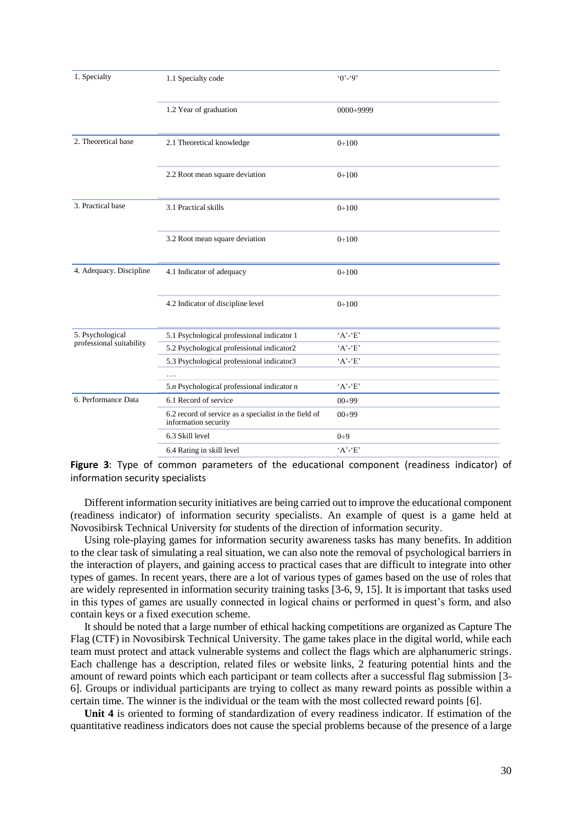| 1. Specialty                                 | 1.1 Specialty code                                                            | $0^{\circ} - 9^{\circ}$ |
|----------------------------------------------|-------------------------------------------------------------------------------|-------------------------|
|                                              | 1.2 Year of graduation                                                        | $0000 \div 9999$        |
| 2. Theoretical base                          | 2.1 Theoretical knowledge                                                     | 0:100                   |
|                                              | 2.2 Root mean square deviation                                                | $0 \div 100$            |
| 3. Practical base                            | 3.1 Practical skills                                                          | 0:100                   |
|                                              | 3.2 Root mean square deviation                                                | 0:100                   |
| 4. Adequacy. Discipline                      | 4.1 Indicator of adequacy                                                     | 0:100                   |
|                                              | 4.2 Indicator of discipline level                                             | 0:100                   |
| 5. Psychological<br>professional suitability | 5.1 Psychological professional indicator 1                                    | $'A$ - $E$              |
|                                              | 5.2 Psychological professional indicator2                                     | $'A'$ - $'E'$           |
|                                              | 5.3 Psychological professional indicator3                                     | $'A$ - $E$              |
|                                              | .                                                                             |                         |
|                                              | 5.n Psychological professional indicator n                                    | $'A$ - $E$              |
| 6. Performance Data                          | 6.1 Record of service                                                         | $00\div 99$             |
|                                              | 6.2 record of service as a specialist in the field of<br>information security | $00\div 99$             |
|                                              | 6.3 Skill level                                                               | $0\div 9$               |
|                                              | 6.4 Rating in skill level                                                     | $'A'$ - $'E'$           |

**Figure 3**: Type of common parameters of the educational component (readiness indicator) of information security specialists

Different information security initiatives are being carried out to improve the educational component (readiness indicator) of information security specialists. An example of quest is a game held at Novosibirsk Technical University for students of the direction of information security.

Using role-playing games for information security awareness tasks has many benefits. In addition to the clear task of simulating a real situation, we can also note the removal of psychological barriers in the interaction of players, and gaining access to practical cases that are difficult to integrate into other types of games. In recent years, there are a lot of various types of games based on the use of roles that are widely represented in information security training tasks [3-6, 9, 15]. It is important that tasks used in this types of games are usually connected in logical chains or performed in quest's form, and also contain keys or a fixed execution scheme.

It should be noted that a large number of ethical hacking competitions are organized as Capture The Flag (CTF) in Novosibirsk Technical University. The game takes place in the digital world, while each team must protect and attack vulnerable systems and collect the flags which are alphanumeric strings. Each challenge has a description, related files or website links, 2 featuring potential hints and the amount of reward points which each participant or team collects after a successful flag submission [3- 6]. Groups or individual participants are trying to collect as many reward points as possible within a certain time. The winner is the individual or the team with the most collected reward points [6].

**Unit 4** is oriented to forming of standardization of every readiness indicator. If estimation of the quantitative readiness indicators does not cause the special problems because of the presence of a large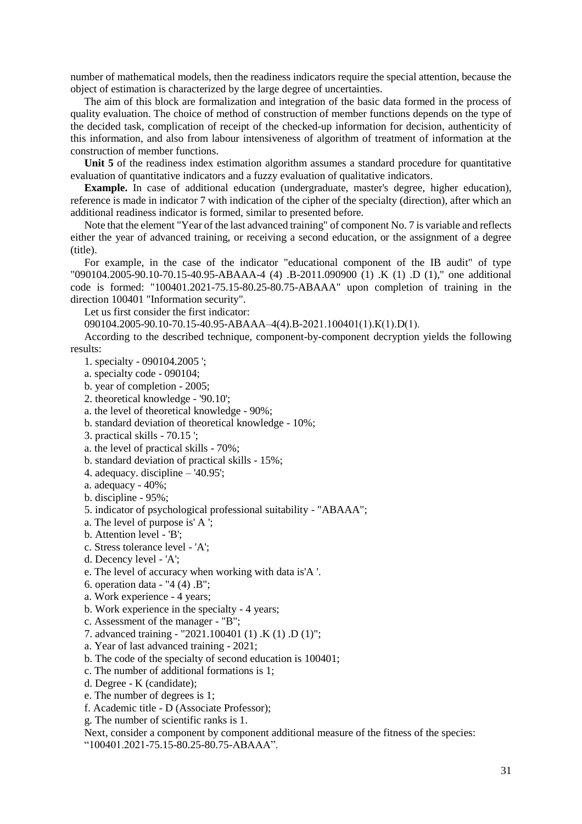number of mathematical models, then the readiness indicators require the special attention, because the object of estimation is characterized by the large degree of uncertainties.

The aim of this block are formalization and integration of the basic data formed in the process of quality evaluation. The choice of method of construction of member functions depends on the type of the decided task, complication of receipt of the checked-up information for decision, authenticity of this information, and also from labour intensiveness of algorithm of treatment of information at the construction of member functions.

**Unit 5** of the readiness index estimation algorithm assumes a standard procedure for quantitative evaluation of quantitative indicators and a fuzzy evaluation of qualitative indicators.

**Example.** In case of additional education (undergraduate, master's degree, higher education), reference is made in indicator 7 with indication of the cipher of the specialty (direction), after which an additional readiness indicator is formed, similar to presented before.

Note that the element "Year of the last advanced training" of component No. 7 is variable and reflects either the year of advanced training, or receiving a second education, or the assignment of a degree (title).

For example, in the case of the indicator "educational component of the IB audit" of type "090104.2005-90.10-70.15-40.95-ABAAA-4 (4) .B-2011.090900 (1) .K (1) .D (1)," one additional code is formed: "100401.2021-75.15-80.25-80.75-ABAAA" upon completion of training in the direction 100401 "Information security".

Let us first consider the first indicator:

090104.2005-90.10-70.15-40.95-ABAAA–4(4).B-2021.100401(1).К(1).D(1).

According to the described technique, component-by-component decryption yields the following results:

1. specialty - 090104.2005 ';

- a. specialty code 090104;
- b. year of completion 2005;
- 2. theoretical knowledge '90.10';
- a. the level of theoretical knowledge 90%;
- b. standard deviation of theoretical knowledge 10%;
- 3. practical skills 70.15 ';
- a. the level of practical skills 70%;
- b. standard deviation of practical skills 15%;
- 4. adequacy. discipline '40.95';
- a. adequacy 40%;
- b. discipline 95%;
- 5. indicator of psychological professional suitability "ABAAA";
- a. The level of purpose is' A ';
- b. Attention level 'B';
- c. Stress tolerance level 'A';
- d. Decency level 'A';
- e. The level of accuracy when working with data is'A '.
- 6. operation data "4 (4) .B";
- a. Work experience 4 years;
- b. Work experience in the specialty 4 years;
- c. Assessment of the manager "B";
- 7. advanced training "2021.100401 (1) .K (1) .D (1)";
- a. Year of last advanced training 2021;
- b. The code of the specialty of second education is 100401;
- c. The number of additional formations is 1;
- d. Degree K (candidate);
- e. The number of degrees is 1;
- f. Academic title D (Associate Professor);
- g. The number of scientific ranks is 1.

Next, consider a component by component additional measure of the fitness of the species:

"100401.2021-75.15-80.25-80.75-ABAAA".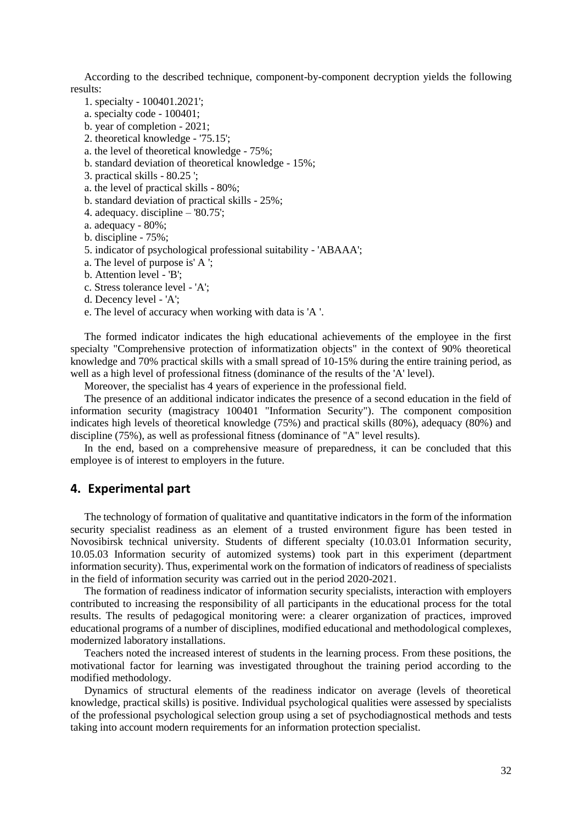According to the described technique, component-by-component decryption yields the following results:

- 1. specialty 100401.2021';
- a. specialty code 100401;
- b. year of completion 2021;
- 2. theoretical knowledge '75.15';
- a. the level of theoretical knowledge 75%;
- b. standard deviation of theoretical knowledge 15%;
- 3. practical skills 80.25 ';
- a. the level of practical skills 80%;
- b. standard deviation of practical skills 25%;
- 4. adequacy. discipline '80.75';
- a. adequacy 80%;
- b. discipline 75%;
- 5. indicator of psychological professional suitability 'ABAAA';
- a. The level of purpose is' A ';
- b. Attention level 'B';
- c. Stress tolerance level 'A';
- d. Decency level 'A';
- e. The level of accuracy when working with data is 'A '.

The formed indicator indicates the high educational achievements of the employee in the first specialty "Comprehensive protection of informatization objects" in the context of 90% theoretical knowledge and 70% practical skills with a small spread of 10-15% during the entire training period, as well as a high level of professional fitness (dominance of the results of the 'A' level).

Moreover, the specialist has 4 years of experience in the professional field.

The presence of an additional indicator indicates the presence of a second education in the field of information security (magistracy 100401 "Information Security"). The component composition indicates high levels of theoretical knowledge (75%) and practical skills (80%), adequacy (80%) and discipline (75%), as well as professional fitness (dominance of "A" level results).

In the end, based on a comprehensive measure of preparedness, it can be concluded that this employee is of interest to employers in the future.

## **4. Experimental part**

The technology of formation of qualitative and quantitative indicators in the form of the information security specialist readiness as an element of a trusted environment figure has been tested in Novosibirsk technical university. Students of different specialty (10.03.01 Information security, 10.05.03 Information security of automized systems) took part in this experiment (department information security). Thus, experimental work on the formation of indicators of readiness of specialists in the field of information security was carried out in the period 2020-2021.

The formation of readiness indicator of information security specialists, interaction with employers contributed to increasing the responsibility of all participants in the educational process for the total results. The results of pedagogical monitoring were: a clearer organization of practices, improved educational programs of a number of disciplines, modified educational and methodological complexes, modernized laboratory installations.

Teachers noted the increased interest of students in the learning process. From these positions, the motivational factor for learning was investigated throughout the training period according to the modified methodology.

Dynamics of structural elements of the readiness indicator on average (levels of theoretical knowledge, practical skills) is positive. Individual psychological qualities were assessed by specialists of the professional psychological selection group using a set of psychodiagnostical methods and tests taking into account modern requirements for an information protection specialist.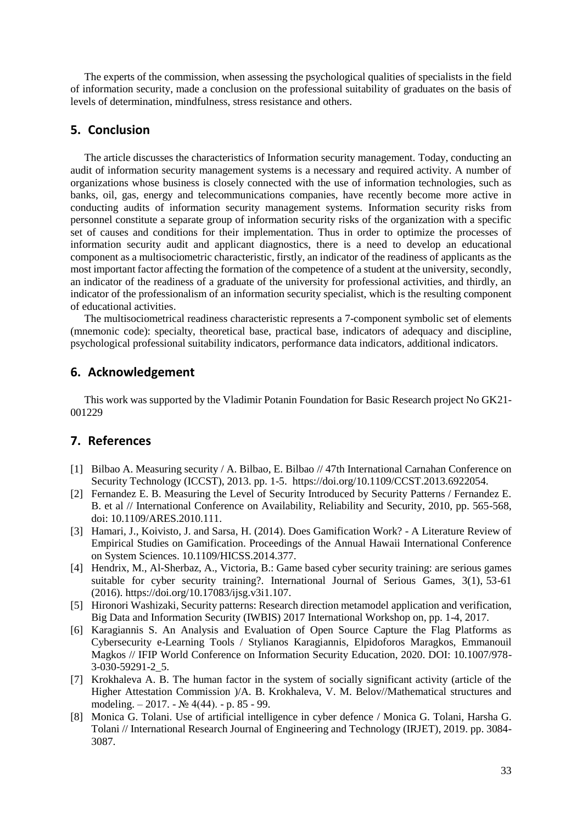The experts of the commission, when assessing the psychological qualities of specialists in the field of information security, made a conclusion on the professional suitability of graduates on the basis of levels of determination, mindfulness, stress resistance and others.

## **5. Conclusion**

The article discusses the characteristics of Information security management. Today, conducting an audit of information security management systems is a necessary and required activity. A number of organizations whose business is closely connected with the use of information technologies, such as banks, oil, gas, energy and telecommunications companies, have recently become more active in conducting audits of information security management systems. Information security risks from personnel constitute a separate group of information security risks of the organization with a specific set of causes and conditions for their implementation. Thus in order to optimize the processes of information security audit and applicant diagnostics, there is a need to develop an educational component as a multisociometric characteristic, firstly, an indicator of the readiness of applicants as the most important factor affecting the formation of the competence of a student at the university, secondly, an indicator of the readiness of a graduate of the university for professional activities, and thirdly, an indicator of the professionalism of an information security specialist, which is the resulting component of educational activities.

The multisociometrical readiness characteristic represents a 7-component symbolic set of elements (mnemonic code): specialty, theoretical base, practical base, indicators of adequacy and discipline, psychological professional suitability indicators, performance data indicators, additional indicators.

## **6. Acknowledgement**

This work was supported by the Vladimir Potanin Foundation for Basic Research project No GK21- 001229

## **7. References**

- [1] Bilbao A. Measuring security / A. Bilbao, E. Bilbao // 47th International Carnahan Conference on Security Technology (ICCST), 2013. pp. 1-5. https://doi.org/10.1109/CCST.2013.6922054.
- [2] Fernandez E. B. Measuring the Level of Security Introduced by Security Patterns / Fernandez E. B. et al // International Conference on Availability, Reliability and Security, 2010, pp. 565-568, doi: 10.1109/ARES.2010.111.
- [3] Hamari, J., Koivisto, J. and Sarsa, H. (2014). Does Gamification Work? A Literature Review of Empirical Studies on Gamification. Proceedings of the Annual Hawaii International Conference on System Sciences. 10.1109/HICSS.2014.377.
- [4] Hendrix, M., Al-Sherbaz, A., Victoria, B.: Game based cyber security training: are serious games suitable for cyber security training?. International Journal of Serious Games, 3(1), 53-61 (2016). https://doi.org/10.17083/ijsg.v3i1.107.
- [5] Hironori Washizaki, Security patterns: Research direction metamodel application and verification, Big Data and Information Security (IWBIS) 2017 International Workshop on, pp. 1-4, 2017.
- [6] Karagiannis S. An Analysis and Evaluation of Open Source Capture the Flag Platforms as Cybersecurity e-Learning Tools / Stylianos Karagiannis, Elpidoforos Maragkos, Emmanouil Magkos // IFIP World Conference on Information Security Education, 2020. DOI: 10.1007/978- 3-030-59291-2\_5.
- [7] Krokhaleva A. B. The human factor in the system of socially significant activity (article of the Higher Attestation Commission )/A. B. Krokhaleva, V. M. Belov//Mathematical structures and modeling. – 2017. - № 4(44). - p. 85 - 99.
- [8] Monica G. Tolani. Use of artificial intelligence in cyber defence / Monica G. Tolani, Harsha G. Tolani // International Research Journal of Engineering and Technology (IRJET), 2019. pp. 3084- 3087.